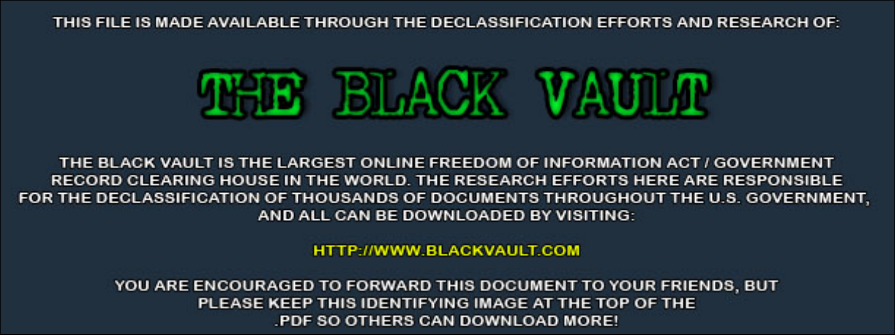THIS FILE IS MADE AVAILABLE THROUGH THE DECLASSIFICATION EFFORTS AND RESEARCH OF:



THE BLACK VAULT IS THE LARGEST ONLINE FREEDOM OF INFORMATION ACT / GOVERNMENT RECORD CLEARING HOUSE IN THE WORLD. THE RESEARCH EFFORTS HERE ARE RESPONSIBLE FOR THE DECLASSIFICATION OF THOUSANDS OF DOCUMENTS THROUGHOUT THE U.S. GOVERNMENT, AND ALL CAN BE DOWNLOADED BY VISITING:

**HTTP://WWW.BLACKVAULT.COM** 

YOU ARE ENCOURAGED TO FORWARD THIS DOCUMENT TO YOUR FRIENDS, BUT PLEASE KEEP THIS IDENTIFYING IMAGE AT THE TOP OF THE PDF SO OTHERS CAN DOWNLOAD MORE!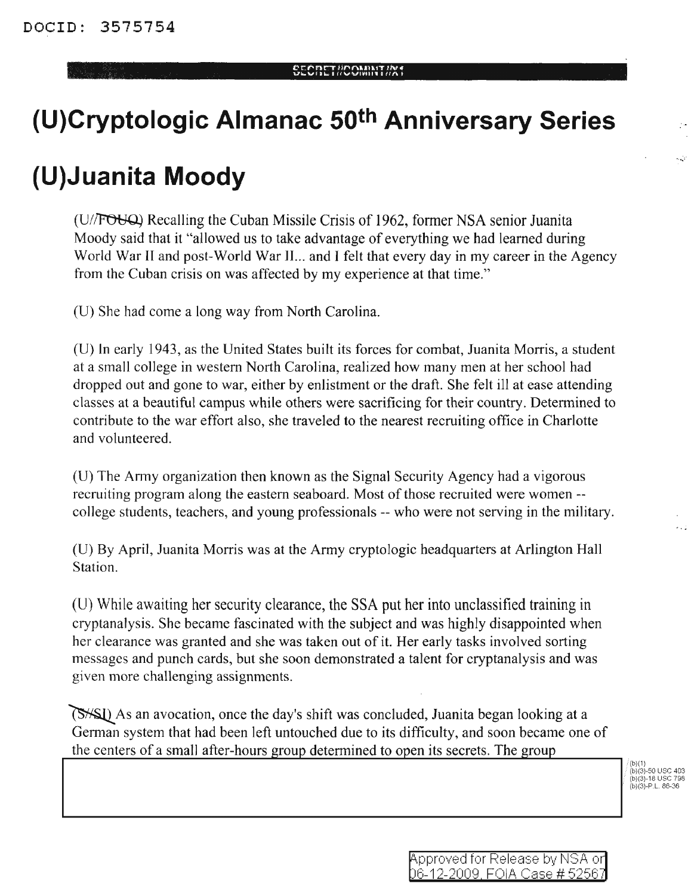## cc""'nr-rlu"nUlI.IT II\H **<sup>u</sup> ..vr J" <sup>I</sup> UVVltlHll <sup>I</sup> un •**

## **(U)Cryptologic Almanac 50th Anniversary Series**

## **(U)Juanita Moody**

(D/~ Recalling the Cuban Missile Crisis of 1962, fonner NSA senior Juanita Moody said that it "allowed us to take advantage of everything we had learned during World War II and post-World War II... and I felt that every day in my career in the Agency from the Cuban crisis on was affected by my experience at that time."

(D) She had come a long way from North Carolina.

(U) **In** early 1943, as the United States built its forces for combat, Juanita Morris, a student at a small college in western North Carolina, realized how many men at her school had dropped out and gone to war, either by enlistment or the draft. She felt ill at ease attending classes at a beautiful campus while others were sacrificing for their country. Determined to contribute to the war effort also, she traveled to the nearest recruiting office in Charlotte and volunteered.

(U) The Army organization then known as the Signal Security Agency had a vigorous recruiting program along the eastern seaboard. Most of those recruited were women--college students, teachers, and young professionals -- who were not serving in the military.

(D) By April, Juanita Morris was at the Army cryptologic headquarters at Arlington Hall Station.

(U) While awaiting her security clearance, the SSA put her into unclassified training in cryptanalysis. She became fascinated with the subject and was highly disappointed when her clearance was granted and she was taken out of it. Her early tasks involved sorting messages and punch cards, but she soon demonstrated a talent for cryptanalysis and was given more challenging assignments.

As an avocation, once the day's shift was concluded, Juanita began looking at a German system that had been left untouched due to its difficulty, and soon became one of the centers of a small after-hours group determined to open its secrets. The group

(b)(1) (b)(3)-50 usc 403 (b)(3)-18 usc 798 (b)(3)-P.L.86-36

...;'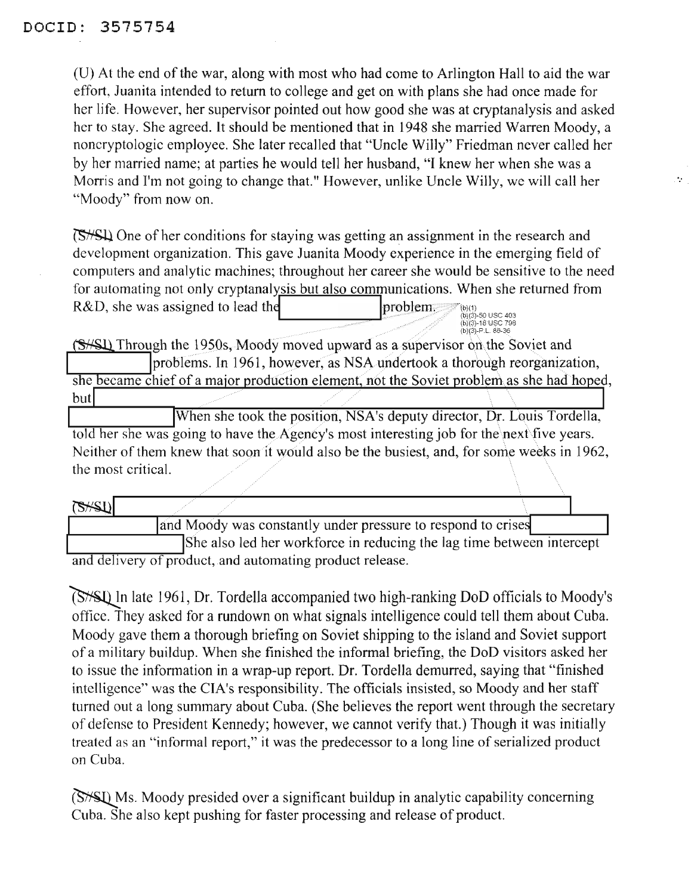(U) At the end of the war, along with most who had come to Arlington Hall to aid the war effort, Juanita intended to return to college and get on with plans she had once made for her life. However, her supervisor pointed out how good she was at cryptanalysis and asked her to stay. She agreed. It should be mentioned that in 1948 she married Warren Moody, a noncryptologic employee. She later recalled that "Uncle Willy" Friedman never called her by her married name; at parties he would tell her husband, "I knew her when she was a Morris and I'm not going to change that." However, unlike Uncle Willy, we will call her "Moody" from now on.

One of her conditions for staying was getting an assignment in the research and development organization. This gave Juanita Moody experience in the emerging field of computers and analytic machines; throughout her career she would be sensitive to the need for automating not only cryptanalysis but also communications. When she returned from  $R&D$ , she was assigned to lead the problem.  $pproblem$ .

(S<sup>HSI</sup>) Through the 1950s, Moody moved upward as a supervisor on the Soviet and problems. In 1961, however, as NSA undertook a thorough reorganization, she became chief of a major production element, not the Soviet problem as she had hoped, but

When she took the position, NSA's deputy director, Dr. Louis Tordella, told her she was going to have the Agency's most interesting job for the next five years. Neither of them knew that soon it would also be the busiest, and, for some weeks in 1962, the most critical.

| B H                                                                   |                                                              |  |  |
|-----------------------------------------------------------------------|--------------------------------------------------------------|--|--|
|                                                                       | and Moody was constantly under pressure to respond to crises |  |  |
| She also led her workforce in reducing the lag time between intercept |                                                              |  |  |
| and delivery of product, and automating product release.              |                                                              |  |  |

(S<sup>\*</sup>S<sup>1</sup>) In late 1961, Dr. Tordella accompanied two high-ranking DoD officials to Moody's office. They asked for a rundown on what signals intelligence could tell them about Cuba. Moody gave them a thorough briefing on Soviet shipping to the island and Soviet support ofa military buildup. When she finished the informal briefing, the DoD visitors asked her to issue the information in a wrap-up report. Dr. Tordella demurred, saying that "finished intelligence" was the CIA's responsibility. The officials insisted, so Moody and her staff turned out a long summary about Cuba. (She believes the report went through the secretary of defense to President Kennedy; however, we cannot verify that.) Though it was initially treated as an "informal report," it was the predecessor to a long line of serialized product on Cuba.

(S<sup>\*</sup>S\*) Ms. Moody presided over a significant buildup in analytic capability concerning Cuba. She also kept pushing for faster processing and release of product.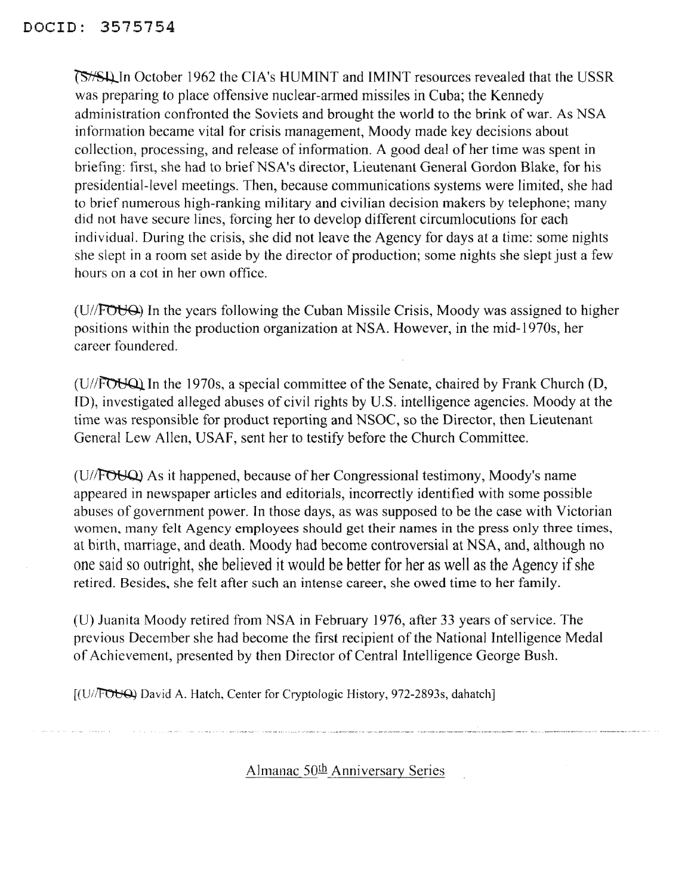~InOctober <sup>1962</sup> the CIA's HUMINT and IMINT resources revealed that the USSR was preparing to place offensive nuclear-armed missiles in Cuba; the Kennedy administration confronted the Soviets and brought the world to the brink of war. As NSA information became vital for crisis management, Moody made key decisions about collection, processing, and release of information. A good deal of her time was spent in briefing: first, she had to brief NSA's director, Lieutenant General Gordon Blake, for his presidential-level meetings. Then, because communications systems were limited, she had to brief numerous high-ranking military and civilian decision makers by telephone; many did not have secure lines, forcing her to develop different circumlocutions for each individual. During the crisis, she did not leave the Agency for days at a time: some nights she slept in a room set aside by the director of production; some nights she slept just a few hours on a cot in her own office.

 $(U/FOU\Theta)$  In the years following the Cuban Missile Crisis, Moody was assigned to higher positions within the production organization at NSA. However, in the mid-1970s, her career foundered.

( $U$ // $\overline{FOVQ}$ ) In the 1970s, a special committee of the Senate, chaired by Frank Church (D, ID), investigated alleged abuses of civil rights by U.S. intelligence agencies. Moody at the time was responsible for product reporting and NSOC, so the Director, then Lieutenant General Lew Allen, USAF, sent her to testify before the Church Committee.

(U//FOUQ) As it happened, because of her Congressional testimony, Moody's name appeared in newspaper articles and editorials, incorrectly identified with some possible abuses of government power. In those days, as was supposed to be the case with Victorian women, many felt Agency employees should get their names in the press only three times, at birth, marriage, and death. Moody had become controversial at NSA, and, although no one said so outright, she believed it would be better for her as well as the Agency if she retired. Besides, she felt after such an intense career, she owed time to her family.

(U) Juanita Moody retired from NSA in February 1976, after 33 years of service. The previous December she had become the first recipient of the National Intelligence Medal of Achievement, presented by then Director of Central Intelligence George Bush.

[(U//FOUQ) David A. Hatch, Center for Cryptologic History, 972-2893s, dahatch]

Almanac 50<sup>th</sup> Anniversary Series